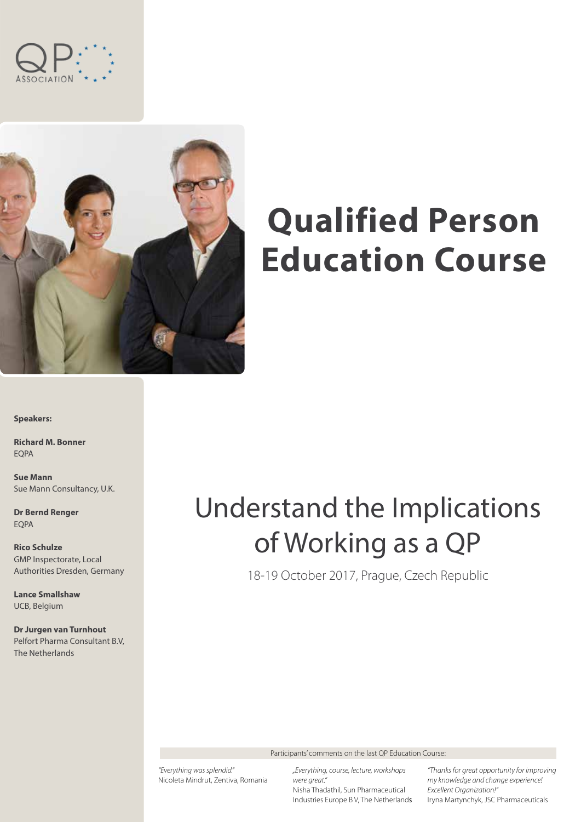



# **Qualified Person Education Course**

**Speakers:**

**Richard M. Bonner** EQPA

**Sue Mann** Sue Mann Consultancy, U.K.

**Dr Bernd Renger** EQPA

**Rico Schulze** GMP Inspectorate, Local Authorities Dresden, Germany

**Lance Smallshaw** UCB, Belgium

**Dr Jurgen van Turnhout** Pelfort Pharma Consultant B.V, The Netherlands

# Understand the Implications of Working as a QP

18-19 October 2017, Prague, Czech Republic

Participants' comments on the last QP Education Course:

*"Everything was splendid."*  Nicoleta Mindrut, Zentiva, Romania

*"Everything, course, lecture, workshops were great."*  Nisha Thadathil, Sun Pharmaceutical Industries Europe B V, The Netherlands

*"Thanks for great opportunity for improving my knowledge and change experience! Excellent Organization!"* Iryna Martynchyk, JSC Pharmaceuticals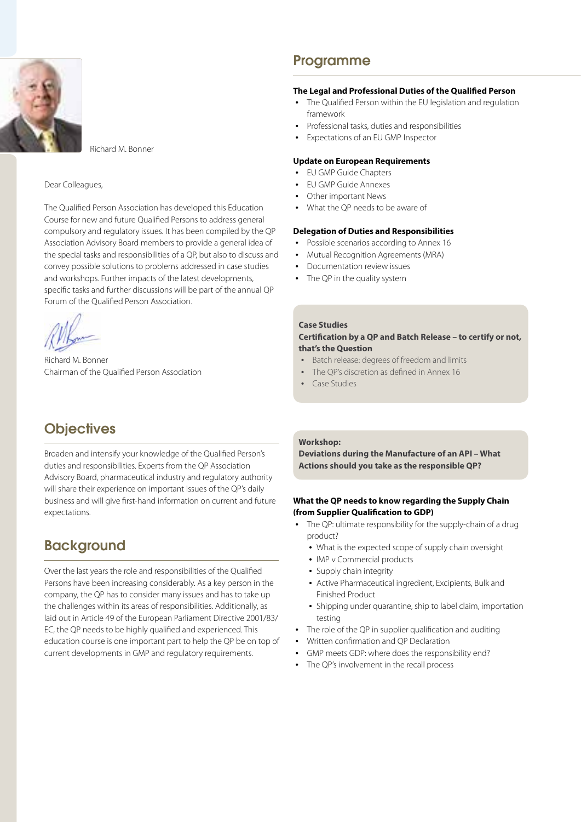

Richard M. Bonner

#### Dear Colleagues,

The Qualified Person Association has developed this Education Course for new and future Qualified Persons to address general compulsory and regulatory issues. It has been compiled by the QP Association Advisory Board members to provide a general idea of the special tasks and responsibilities of a QP, but also to discuss and convey possible solutions to problems addressed in case studies and workshops. Further impacts of the latest developments, specific tasks and further discussions will be part of the annual QP Forum of the Qualified Person Association.

 $B =$ 

Richard M. Bonner Chairman of the Qualified Person Association

# **Objectives**

Broaden and intensify your knowledge of the Qualified Person's duties and responsibilities. Experts from the QP Association Advisory Board, pharmaceutical industry and regulatory authority will share their experience on important issues of the QP's daily business and will give first-hand information on current and future expectations.

## **Background**

Over the last years the role and responsibilities of the Qualified Persons have been increasing considerably. As a key person in the company, the QP has to consider many issues and has to take up the challenges within its areas of responsibilities. Additionally, as laid out in Article 49 of the European Parliament Directive 2001/83/ EC, the QP needs to be highly qualified and experienced. This education course is one important part to help the QP be on top of current developments in GMP and regulatory requirements.

## Programme

## **The Legal and Professional Duties of the Qualified Person**

- The Qualified Person within the EU legislation and regulation framework
- Professional tasks, duties and responsibilities
- Expectations of an EU GMP Inspector

#### **Update on European Requirements**

- EU GMP Guide Chapters
- FU GMP Guide Annexes
- Other important News
- What the QP needs to be aware of

#### **Delegation of Duties and Responsibilities**

- Possible scenarios according to Annex 16
- Mutual Recognition Agreements (MRA)
- Documentation review issues
- The QP in the quality system

#### **Case Studies**

## **Certification by a QP and Batch Release – to certify or not, that's the Question**

- Batch release: degrees of freedom and limits
- The OP's discretion as defined in Annex 16
- Case Studies

## **Workshop:**

**Deviations during the Manufacture of an API – What Actions should you take as the responsible QP?**

## **What the QP needs to know regarding the Supply Chain (from Supplier Qualification to GDP)**

- The QP: ultimate responsibility for the supply-chain of a drug product?
	- What is the expected scope of supply chain oversight
	- IMP v Commercial products
	- Supply chain integrity
	- Active Pharmaceutical ingredient, Excipients, Bulk and Finished Product
	- Shipping under quarantine, ship to label claim, importation testing
- The role of the OP in supplier qualification and auditing
- y Written confirmation and QP Declaration
- GMP meets GDP: where does the responsibility end?
- The QP's involvement in the recall process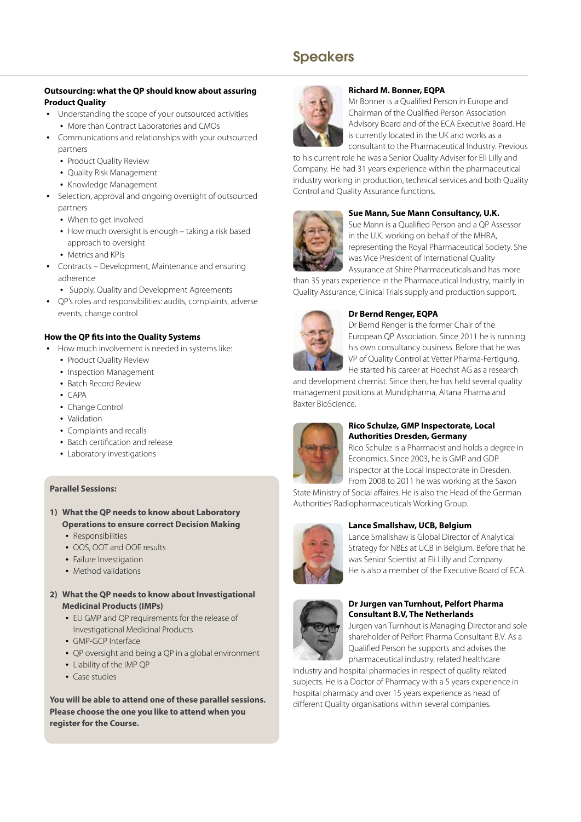# Speakers

## **Outsourcing: what the QP should know about assuring Product Quality**

- Understanding the scope of your outsourced activities
	- More than Contract Laboratories and CMOs
- Communications and relationships with your outsourced partners
	- Product Quality Review
	- Quality Risk Management
	- Knowledge Management
- Selection, approval and ongoing oversight of outsourced partners
	- When to get involved
	- How much oversight is enough taking a risk based approach to oversight
	- Metrics and KPIs
- Contracts Development, Maintenance and ensuring adherence
- Supply, Quality and Development Agreements
- QP's roles and responsibilities: audits, complaints, adverse events, change control

## **How the QP fits into the Quality Systems**

- How much involvement is needed in systems like:
	- Product Quality Review
	- Inspection Management
	- Batch Record Review
	- $\bullet$  CAPA
	- Change Control
	- Validation
	- Complaints and recalls
	- Batch certification and release
	- Laboratory investigations

## **Parallel Sessions:**

- **1) What the QP needs to know about Laboratory Operations to ensure correct Decision Making** 
	- Responsibilities
	- OOS, OOT and OOE results
	- Failure Investigation
	- Method validations
- **2) What the QP needs to know about Investigational Medicinal Products (IMPs)**
	- EU GMP and OP requirements for the release of Investigational Medicinal Products
	- GMP-GCP Interface
	- QP oversight and being a QP in a global environment
	- Liability of the IMP OP
	- Case studies

**You will be able to attend one of these parallel sessions. Please choose the one you like to attend when you register for the Course.**



#### **Richard M. Bonner, EQPA**

Mr Bonner is a Qualified Person in Europe and Chairman of the Qualified Person Association Advisory Board and of the ECA Executive Board. He is currently located in the UK and works as a consultant to the Pharmaceutical Industry. Previous

to his current role he was a Senior Quality Adviser for Eli Lilly and Company. He had 31 years experience within the pharmaceutical industry working in production, technical services and both Quality Control and Quality Assurance functions.



## **Sue Mann, Sue Mann Consultancy, U.K.**

Sue Mann is a Qualified Person and a QP Assessor in the U.K. working on behalf of the MHRA, representing the Royal Pharmaceutical Society. She was Vice President of International Quality Assurance at Shire Pharmaceuticals.and has more

than 35 years experience in the Pharmaceutical Industry, mainly in Quality Assurance, Clinical Trials supply and production support.



## **Dr Bernd Renger, EQPA**

Dr Bernd Renger is the former Chair of the European QP Association. Since 2011 he is running his own consultancy business. Before that he was VP of Quality Control at Vetter Pharma-Fertigung. He started his career at Hoechst AG as a research

and development chemist. Since then, he has held several quality management positions at Mundipharma, Altana Pharma and Baxter BioScience.



## **Rico Schulze, GMP Inspectorate, Local Authorities Dresden, Germany**

Rico Schulze is a Pharmacist and holds a degree in Economics. Since 2003, he is GMP and GDP Inspector at the Local Inspectorate in Dresden.

From 2008 to 2011 he was working at the Saxon State Ministry of Social affaires. He is also the Head of the German Authorities' Radiopharmaceuticals Working Group.



## **Lance Smallshaw, UCB, Belgium**

Lance Smallshaw is Global Director of Analytical Strategy for NBEs at UCB in Belgium. Before that he was Senior Scientist at Eli Lilly and Company. He is also a member of the Executive Board of ECA.



## **Dr Jurgen van Turnhout, Pelfort Pharma Consultant B.V, The Netherlands**

Jurgen van Turnhout is Managing Director and sole shareholder of Pelfort Pharma Consultant B.V. As a Qualified Person he supports and advises the pharmaceutical industry, related healthcare

industry and hospital pharmacies in respect of quality related subjects. He is a Doctor of Pharmacy with a 5 years experience in hospital pharmacy and over 15 years experience as head of different Quality organisations within several companies.